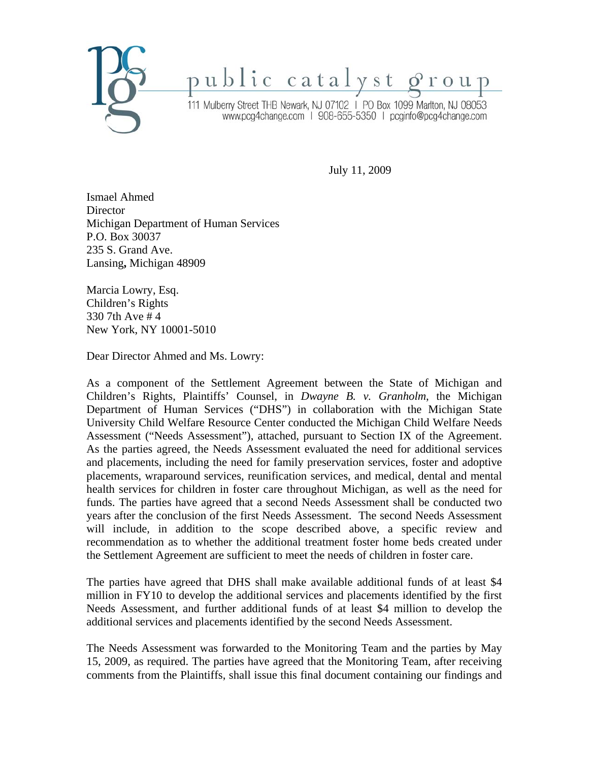

public catalyst group

111 Mulberry Street THB Newark, NJ 07102 | PO Box 1099 Marlton, NJ 08053 www.pcg4change.com | 908-655-5350 | pcginfo@pcg4change.com

July 11, 2009

Ismael Ahmed Director Michigan Department of Human Services P.O. Box 30037 235 S. Grand Ave. Lansing**,** Michigan 48909

Marcia Lowry, Esq. Children's Rights 330 7th Ave # 4 New York, NY 10001-5010

Dear Director Ahmed and Ms. Lowry:

As a component of the Settlement Agreement between the State of Michigan and Children's Rights, Plaintiffs' Counsel, in *Dwayne B. v. Granholm*, the Michigan Department of Human Services ("DHS") in collaboration with the Michigan State University Child Welfare Resource Center conducted the Michigan Child Welfare Needs Assessment ("Needs Assessment"), attached, pursuant to Section IX of the Agreement. As the parties agreed, the Needs Assessment evaluated the need for additional services and placements, including the need for family preservation services, foster and adoptive placements, wraparound services, reunification services, and medical, dental and mental health services for children in foster care throughout Michigan, as well as the need for funds. The parties have agreed that a second Needs Assessment shall be conducted two years after the conclusion of the first Needs Assessment. The second Needs Assessment will include, in addition to the scope described above, a specific review and recommendation as to whether the additional treatment foster home beds created under the Settlement Agreement are sufficient to meet the needs of children in foster care.

The parties have agreed that DHS shall make available additional funds of at least \$4 million in FY10 to develop the additional services and placements identified by the first Needs Assessment, and further additional funds of at least \$4 million to develop the additional services and placements identified by the second Needs Assessment.

The Needs Assessment was forwarded to the Monitoring Team and the parties by May 15, 2009, as required. The parties have agreed that the Monitoring Team, after receiving comments from the Plaintiffs, shall issue this final document containing our findings and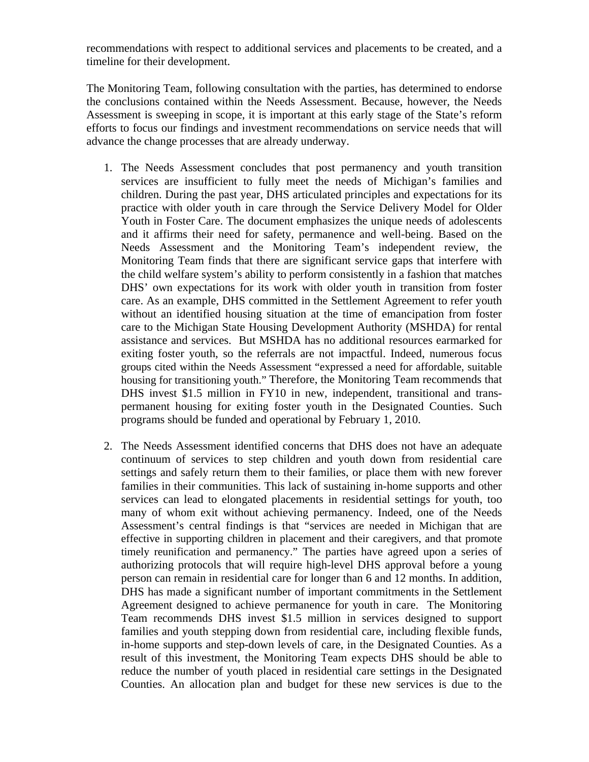recommendations with respect to additional services and placements to be created, and a timeline for their development.

The Monitoring Team, following consultation with the parties, has determined to endorse the conclusions contained within the Needs Assessment. Because, however, the Needs Assessment is sweeping in scope, it is important at this early stage of the State's reform efforts to focus our findings and investment recommendations on service needs that will advance the change processes that are already underway.

- 1. The Needs Assessment concludes that post permanency and youth transition services are insufficient to fully meet the needs of Michigan's families and children. During the past year, DHS articulated principles and expectations for its practice with older youth in care through the Service Delivery Model for Older Youth in Foster Care. The document emphasizes the unique needs of adolescents and it affirms their need for safety, permanence and well-being. Based on the Needs Assessment and the Monitoring Team's independent review, the Monitoring Team finds that there are significant service gaps that interfere with the child welfare system's ability to perform consistently in a fashion that matches DHS' own expectations for its work with older youth in transition from foster care. As an example, DHS committed in the Settlement Agreement to refer youth without an identified housing situation at the time of emancipation from foster care to the Michigan State Housing Development Authority (MSHDA) for rental assistance and services. But MSHDA has no additional resources earmarked for exiting foster youth, so the referrals are not impactful. Indeed, numerous focus groups cited within the Needs Assessment "expressed a need for affordable, suitable housing for transitioning youth." Therefore, the Monitoring Team recommends that DHS invest \$1.5 million in FY10 in new, independent, transitional and transpermanent housing for exiting foster youth in the Designated Counties. Such programs should be funded and operational by February 1, 2010.
- 2. The Needs Assessment identified concerns that DHS does not have an adequate continuum of services to step children and youth down from residential care settings and safely return them to their families, or place them with new forever families in their communities. This lack of sustaining in-home supports and other services can lead to elongated placements in residential settings for youth, too many of whom exit without achieving permanency. Indeed, one of the Needs Assessment's central findings is that "services are needed in Michigan that are effective in supporting children in placement and their caregivers, and that promote timely reunification and permanency." The parties have agreed upon a series of authorizing protocols that will require high-level DHS approval before a young person can remain in residential care for longer than 6 and 12 months. In addition, DHS has made a significant number of important commitments in the Settlement Agreement designed to achieve permanence for youth in care. The Monitoring Team recommends DHS invest \$1.5 million in services designed to support families and youth stepping down from residential care, including flexible funds, in-home supports and step-down levels of care, in the Designated Counties. As a result of this investment, the Monitoring Team expects DHS should be able to reduce the number of youth placed in residential care settings in the Designated Counties. An allocation plan and budget for these new services is due to the